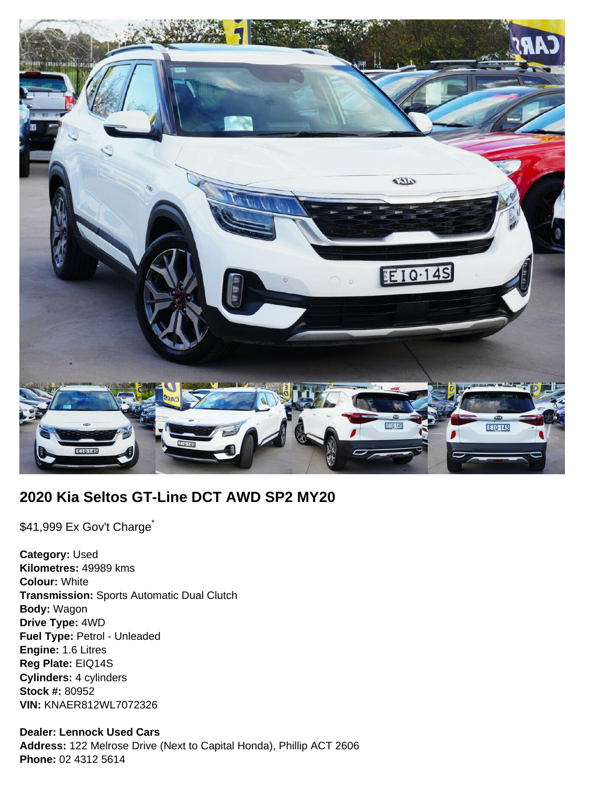

# **2020 Kia Seltos GT-Line DCT AWD SP2 MY20**

\$41,999 Ex Gov't Charge<sup>\*</sup>

**Category:** Used **Kilometres:** 49989 kms **Colour:** White **Transmission:** Sports Automatic Dual Clutch **Body:** Wagon **Drive Type:** 4WD **Fuel Type:** Petrol - Unleaded **Engine:** 1.6 Litres **Reg Plate:** EIQ14S **Cylinders:** 4 cylinders **Stock #:** 80952 **VIN:** KNAER812WL7072326

### **Dealer: Lennock Used Cars**

**Address:** 122 Melrose Drive (Next to Capital Honda), Phillip ACT 2606 **Phone:** 02 4312 5614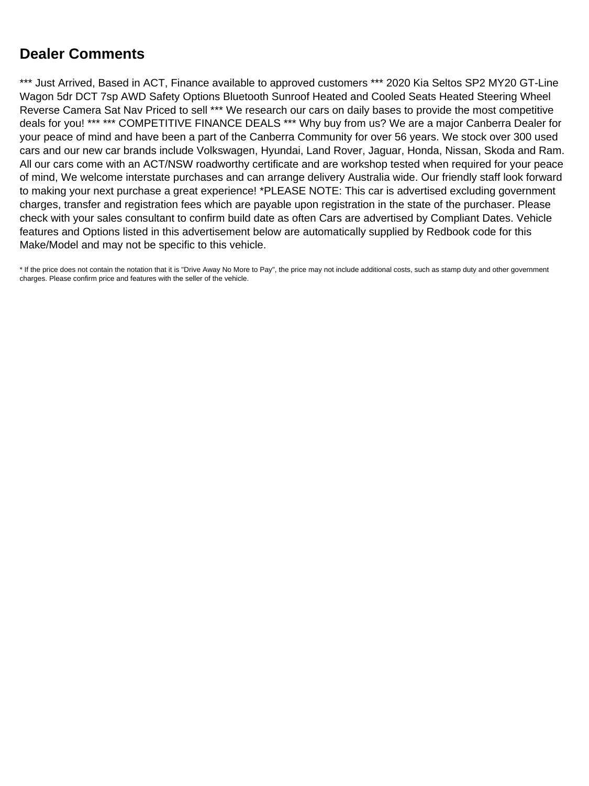# **Dealer Comments**

\*\*\* Just Arrived, Based in ACT, Finance available to approved customers \*\*\* 2020 Kia Seltos SP2 MY20 GT-Line Wagon 5dr DCT 7sp AWD Safety Options Bluetooth Sunroof Heated and Cooled Seats Heated Steering Wheel Reverse Camera Sat Nav Priced to sell \*\*\* We research our cars on daily bases to provide the most competitive deals for you! \*\*\* \*\*\* COMPETITIVE FINANCE DEALS \*\*\* Why buy from us? We are a major Canberra Dealer for your peace of mind and have been a part of the Canberra Community for over 56 years. We stock over 300 used cars and our new car brands include Volkswagen, Hyundai, Land Rover, Jaguar, Honda, Nissan, Skoda and Ram. All our cars come with an ACT/NSW roadworthy certificate and are workshop tested when required for your peace of mind, We welcome interstate purchases and can arrange delivery Australia wide. Our friendly staff look forward to making your next purchase a great experience! \*PLEASE NOTE: This car is advertised excluding government charges, transfer and registration fees which are payable upon registration in the state of the purchaser. Please check with your sales consultant to confirm build date as often Cars are advertised by Compliant Dates. Vehicle features and Options listed in this advertisement below are automatically supplied by Redbook code for this Make/Model and may not be specific to this vehicle.

\* If the price does not contain the notation that it is "Drive Away No More to Pay", the price may not include additional costs, such as stamp duty and other government charges. Please confirm price and features with the seller of the vehicle.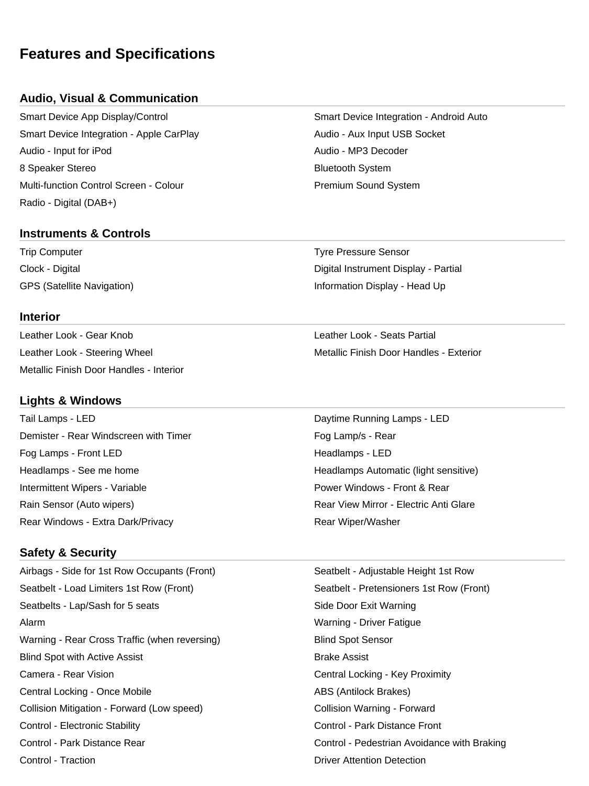# **Features and Specifications**

### **Audio, Visual & Communication**

Smart Device App Display/Control Smart Device Integration - Android Auto Smart Device Integration - Apple CarPlay Audio - Audio - Aux Input USB Socket Audio - Input for iPod Audio - MP3 Decoder 8 Speaker Stereo **Bluetooth System** Bluetooth System Multi-function Control Screen - Colour **Premium Sound System** Premium Sound System Radio - Digital (DAB+)

#### **Instruments & Controls**

Trip Computer Tyre Pressure Sensor Clock - Digital Digital Instrument Display - Partial

#### **Interior**

Leather Look - Gear Knob Leather Look - Seats Partial Metallic Finish Door Handles - Interior

#### **Lights & Windows**

Tail Lamps - LED **Daytime Running Lamps - LED** Demister - Rear Windscreen with Timer Fog Lamp/s - Rear Fog Lamps - Front LED **Headlamps - LED** Headlamps - See me home **Headlamps Automatic (light sensitive)** Headlamps Automatic (light sensitive) Intermittent Wipers - Variable **Power Windows - Front & Rear** Power Windows - Front & Rear Rain Sensor (Auto wipers) The Community Rear View Mirror - Electric Anti Glare Rear Windows - Extra Dark/Privacy **Rear Windows** - Extra Dark/Privacy

#### **Safety & Security**

Airbags - Side for 1st Row Occupants (Front) Seatbelt - Adjustable Height 1st Row Seatbelt - Load Limiters 1st Row (Front) Seatbelt - Pretensioners 1st Row (Front) Seatbelts - Lap/Sash for 5 seats Side Door Exit Warning Alarm Warning - Driver Fatigue Warning - Rear Cross Traffic (when reversing) The Summan Blind Spot Sensor Blind Spot with Active Assist **Brake Assist** Brake Assist Camera - Rear Vision **Camera - Rear Vision** Central Locking - Key Proximity Central Locking - Once Mobile **ABS** (Antilock Brakes) Collision Mitigation - Forward (Low speed) Collision Warning - Forward Control - Electronic Stability Control - Park Distance Front Control - Park Distance Rear Control - Pedestrian Avoidance with Braking Control - Traction Driver Attention Detection

GPS (Satellite Navigation) **Information Display - Head Up** Information Display - Head Up

Leather Look - Steering Wheel Metallic Finish Door Handles - Exterior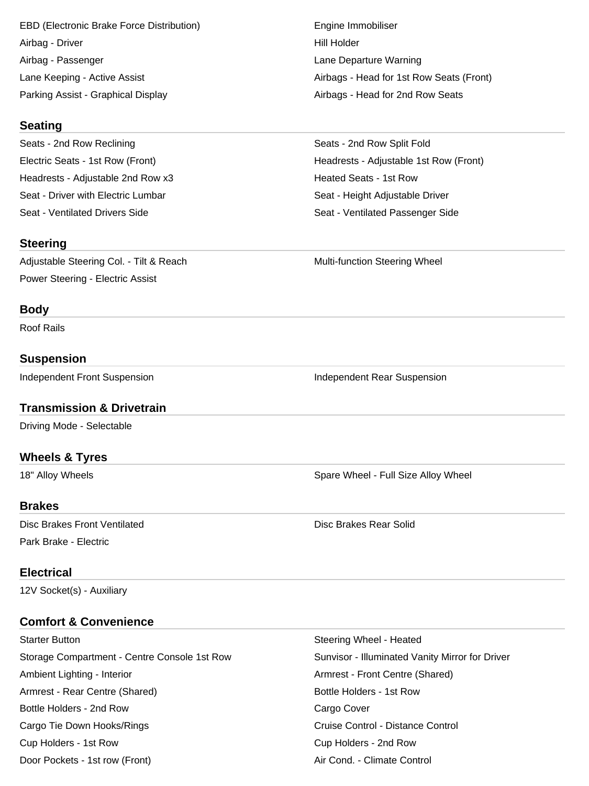EBD (Electronic Brake Force Distribution) The Engine Immobiliser Airbag - Driver **Hill Holder** Hill Holder Airbag - Passenger Lane Departure Warning Parking Assist - Graphical Display Airbags - Head for 2nd Row Seats

#### **Seating**

Seats - 2nd Row Reclining Seats - 2nd Row Split Fold Headrests - Adjustable 2nd Row x3 https://www.fragatalan.com/heated Seats - 1st Row Seat - Driver with Electric Lumbar Seat - Height Adjustable Driver

#### **Steering**

Adjustable Steering Col. - Tilt & Reach Multi-function Steering Wheel Power Steering - Electric Assist

#### **Body**

Roof Rails

## **Suspension**

Independent Front Suspension **Independent Rear Suspension** Independent Rear Suspension

## **Transmission & Drivetrain**

Driving Mode - Selectable

## **Wheels & Tyres**

#### **Brakes**

Disc Brakes Front Ventilated **Disc Brakes Rear Solid Disc Brakes Rear Solid** Park Brake - Electric

#### **Electrical**

12V Socket(s) - Auxiliary

# **Comfort & Convenience**

Starter Button Steering Wheel - Heated Storage Compartment - Centre Console 1st Row Sunvisor - Illuminated Vanity Mirror for Driver Ambient Lighting - Interior **Armigation** Centre (Shared) Armrest - Front Centre (Shared) Armrest - Rear Centre (Shared) and Bottle Holders - 1st Row Bottle Holders - 2nd Row Cargo Cover Cargo Tie Down Hooks/Rings **Cruise Control - Distance Control** - Cruise Control - Distance Control Cup Holders - 1st Row Cup Holders - 2nd Row Door Pockets - 1st row (Front) Air Cond. - Climate Control

Lane Keeping - Active Assist Attack And Airbags - Head for 1st Row Seats (Front)

Electric Seats - 1st Row (Front) Headrests - Adjustable 1st Row (Front) Seat - Ventilated Drivers Side Seat - Ventilated Passenger Side

18" Alloy Wheels **Spare Wheel - Full Size Alloy Wheel** - Spare Wheel - Full Size Alloy Wheel